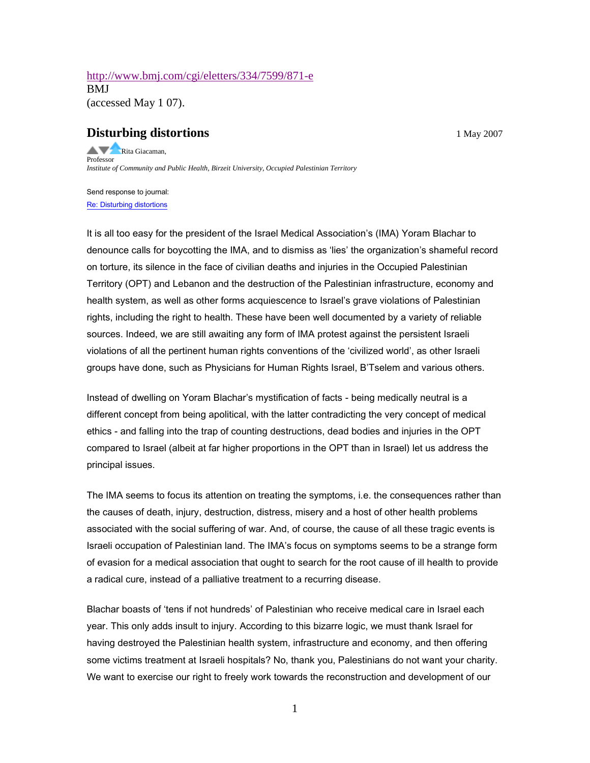## <http://www.bmj.com/cgi/eletters/334/7599/871-e> BMJ (accessed May 1 07).

## **Disturbing distortions** 1 May 2007

Rita Giacaman, Professor *Institute of Community and Public Health, Birzeit University, Occupied Palestinian Territory*

Send response to journal: [Re: Disturbing distortions](http://www.bmj.com/cgi/eletter-submit/334/7599/871-e?title=Re%3A+Disturbing+distortions)

It is all too easy for the president of the Israel Medical Association's (IMA) Yoram Blachar to denounce calls for boycotting the IMA, and to dismiss as 'lies' the organization's shameful record on torture, its silence in the face of civilian deaths and injuries in the Occupied Palestinian Territory (OPT) and Lebanon and the destruction of the Palestinian infrastructure, economy and health system, as well as other forms acquiescence to Israel's grave violations of Palestinian rights, including the right to health. These have been well documented by a variety of reliable sources. Indeed, we are still awaiting any form of IMA protest against the persistent Israeli violations of all the pertinent human rights conventions of the 'civilized world', as other Israeli groups have done, such as Physicians for Human Rights Israel, B'Tselem and various others.

Instead of dwelling on Yoram Blachar's mystification of facts - being medically neutral is a different concept from being apolitical, with the latter contradicting the very concept of medical ethics - and falling into the trap of counting destructions, dead bodies and injuries in the OPT compared to Israel (albeit at far higher proportions in the OPT than in Israel) let us address the principal issues.

The IMA seems to focus its attention on treating the symptoms, i.e. the consequences rather than the causes of death, injury, destruction, distress, misery and a host of other health problems associated with the social suffering of war. And, of course, the cause of all these tragic events is Israeli occupation of Palestinian land. The IMA's focus on symptoms seems to be a strange form of evasion for a medical association that ought to search for the root cause of ill health to provide a radical cure, instead of a palliative treatment to a recurring disease.

Blachar boasts of 'tens if not hundreds' of Palestinian who receive medical care in Israel each year. This only adds insult to injury. According to this bizarre logic, we must thank Israel for having destroyed the Palestinian health system, infrastructure and economy, and then offering some victims treatment at Israeli hospitals? No, thank you, Palestinians do not want your charity. We want to exercise our right to freely work towards the reconstruction and development of our

1